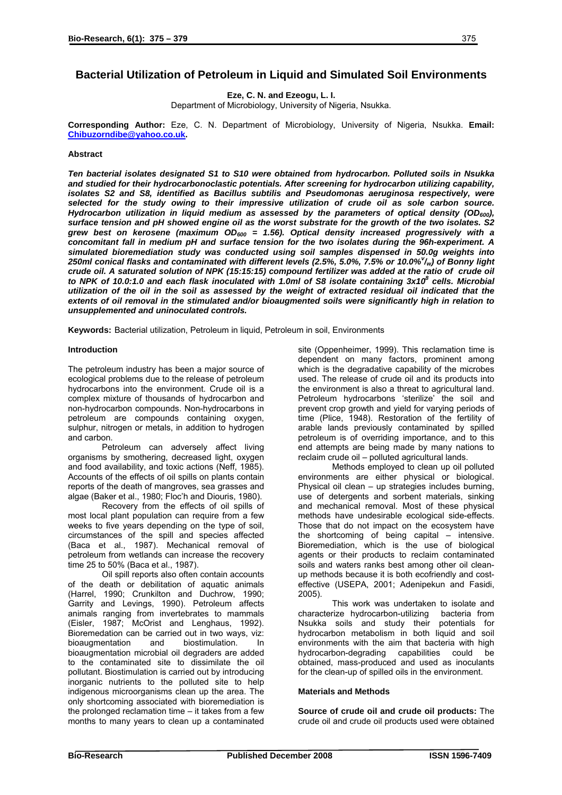# **Bacterial Utilization of Petroleum in Liquid and Simulated Soil Environments**

**Eze, C. N. and Ezeogu, L. I.** 

Department of Microbiology, University of Nigeria, Nsukka.

**Corresponding Author:** Eze, C. N. Department of Microbiology, University of Nigeria, Nsukka. **Email: [Chibuzorndibe@yahoo.co.uk](mailto:Chibuzorndibe@yahoo.co.uk).** 

## **Abstract**

*Ten bacterial isolates designated S1 to S10 were obtained from hydrocarbon. Polluted soils in Nsukka and studied for their hydrocarbonoclastic potentials. After screening for hydrocarbon utilizing capability, isolates S2 and S8, identified as Bacillus subtilis and Pseudomonas aeruginosa respectively, were selected for the study owing to their impressive utilization of crude oil as sole carbon source. Hydrocarbon utilization in liquid medium as assessed by the parameters of optical density (OD600), surface tension and pH showed engine oil as the worst substrate for the growth of the two isolates. S2* grew best on kerosene (maximum OD<sub>600</sub> = 1.56). Optical density increased progressively with a *concomitant fall in medium pH and surface tension for the two isolates during the 96h-experiment. A simulated bioremediation study was conducted using soil samples dispensed in 50.0g weights into 250ml conical flasks and contaminated with different levels (2.5%, 5.0%, 7.5% or 10.0%<sup>v</sup> /w) of Bonny light crude oil. A saturated solution of NPK (15:15:15) compound fertilizer was added at the ratio of crude oil* to NPK of 10.0:1.0 and each flask inoculated with 1.0ml of S8 isolate containing 3x10<sup>8</sup> cells. Microbial *utilization of the oil in the soil as assessed by the weight of extracted residual oil indicated that the extents of oil removal in the stimulated and/or bioaugmented soils were significantly high in relation to unsupplemented and uninoculated controls.* 

**Keywords:** Bacterial utilization, Petroleum in liquid, Petroleum in soil, Environments

### **Introduction**

The petroleum industry has been a major source of ecological problems due to the release of petroleum hydrocarbons into the environment. Crude oil is a complex mixture of thousands of hydrocarbon and non-hydrocarbon compounds. Non-hydrocarbons in petroleum are compounds containing oxygen, sulphur, nitrogen or metals, in addition to hydrogen and carbon.

Petroleum can adversely affect living organisms by smothering, decreased light, oxygen and food availability, and toxic actions (Neff, 1985). Accounts of the effects of oil spills on plants contain reports of the death of mangroves, sea grasses and algae (Baker et al., 1980; Floc'h and Diouris, 1980).

Recovery from the effects of oil spills of most local plant population can require from a few weeks to five years depending on the type of soil, circumstances of the spill and species affected (Baca et al., 1987). Mechanical removal of petroleum from wetlands can increase the recovery time 25 to 50% (Baca et al., 1987).

Oil spill reports also often contain accounts of the death or debilitation of aquatic animals (Harrel, 1990; Crunkilton and Duchrow, 1990; Garrity and Levings, 1990). Petroleum affects animals ranging from invertebrates to mammals (Eisler, 1987; McOrist and Lenghaus, 1992). Bioremedation can be carried out in two ways, viz: bioaugmentation and biostimulation. In bioaugmentation microbial oil degraders are added to the contaminated site to dissimilate the oil pollutant. Biostimulation is carried out by introducing inorganic nutrients to the polluted site to help indigenous microorganisms clean up the area. The only shortcoming associated with bioremediation is the prolonged reclamation time – it takes from a few months to many years to clean up a contaminated

site (Oppenheimer, 1999). This reclamation time is dependent on many factors, prominent among which is the degradative capability of the microbes used. The release of crude oil and its products into the environment is also a threat to agricultural land. Petroleum hydrocarbons 'sterilize' the soil and prevent crop growth and yield for varying periods of time (Plice, 1948). Restoration of the fertility of arable lands previously contaminated by spilled petroleum is of overriding importance, and to this end attempts are being made by many nations to reclaim crude oil – polluted agricultural lands.

Methods employed to clean up oil polluted environments are either physical or biological. Physical oil clean – up strategies includes burning, use of detergents and sorbent materials, sinking and mechanical removal. Most of these physical methods have undesirable ecological side-effects. Those that do not impact on the ecosystem have the shortcoming of being capital – intensive. Bioremediation, which is the use of biological agents or their products to reclaim contaminated soils and waters ranks best among other oil cleanup methods because it is both ecofriendly and costeffective (USEPA, 2001; Adenipekun and Fasidi, 2005).

This work was undertaken to isolate and characterize hydrocarbon-utilizing bacteria from Nsukka soils and study their potentials for hydrocarbon metabolism in both liquid and soil environments with the aim that bacteria with high hydrocarbon-degrading capabilities could be obtained, mass-produced and used as inoculants for the clean-up of spilled oils in the environment.

# **Materials and Methods**

**Source of crude oil and crude oil products:** The crude oil and crude oil products used were obtained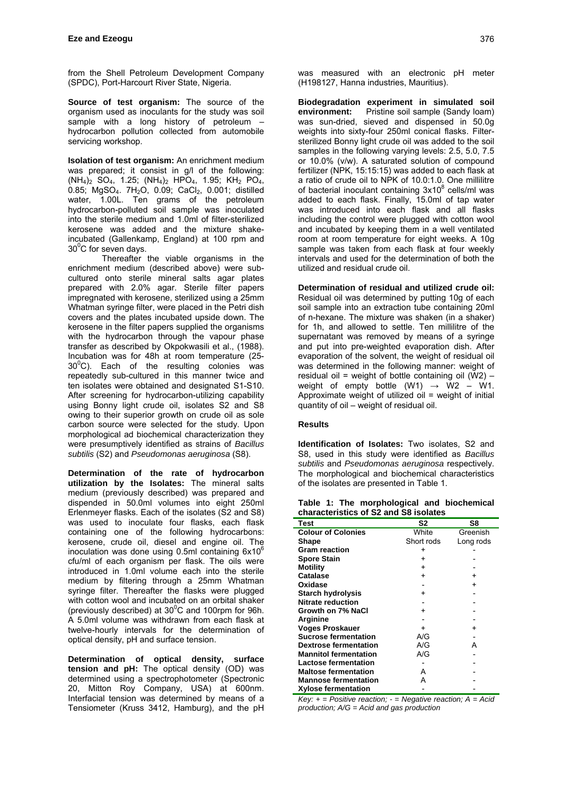from the Shell Petroleum Development Company (SPDC), Port-Harcourt River State, Nigeria.

**Source of test organism:** The source of the organism used as inoculants for the study was soil sample with a long history of petroleum – hydrocarbon pollution collected from automobile servicing workshop.

**Isolation of test organism:** An enrichment medium was prepared; it consist in g/l of the following:  $(NH_4)_2$  SO<sub>4</sub>, 1.25;  $(NH_4)_2$  HPO<sub>4</sub>, 1.95; KH<sub>2</sub> PO<sub>4</sub>, 0.85; MgSO4. 7H2O, 0.09; CaCl2, 0.001; distilled water, 1.00L. Ten grams of the petroleum hydrocarbon-polluted soil sample was inoculated into the sterile medium and 1.0ml of filter-sterilized kerosene was added and the mixture shakeincubated (Gallenkamp, England) at 100 rpm and  $30^0$ C for seven days.

 Thereafter the viable organisms in the enrichment medium (described above) were subcultured onto sterile mineral salts agar plates prepared with 2.0% agar. Sterile filter papers impregnated with kerosene, sterilized using a 25mm Whatman syringe filter, were placed in the Petri dish covers and the plates incubated upside down. The kerosene in the filter papers supplied the organisms with the hydrocarbon through the vapour phase transfer as described by Okpokwasili et al., (1988). Incubation was for 48h at room temperature (25-  $30^{\circ}$ C). Each of the resulting colonies was repeatedly sub-cultured in this manner twice and ten isolates were obtained and designated S1-S10. After screening for hydrocarbon-utilizing capability using Bonny light crude oil, isolates S2 and S8 owing to their superior growth on crude oil as sole carbon source were selected for the study. Upon morphological ad biochemical characterization they were presumptively identified as strains of *Bacillus subtilis* (S2) and *Pseudomonas aeruginosa* (S8).

**Determination of the rate of hydrocarbon utilization by the Isolates:** The mineral salts medium (previously described) was prepared and dispended in 50.0ml volumes into eight 250ml Erlenmeyer flasks. Each of the isolates (S2 and S8) was used to inoculate four flasks, each flask containing one of the following hydrocarbons: kerosene, crude oil, diesel and engine oil. The inoculation was done using  $0.5$ ml containing  $6x10^6$ cfu/ml of each organism per flask. The oils were introduced in 1.0ml volume each into the sterile medium by filtering through a 25mm Whatman syringe filter. Thereafter the flasks were plugged with cotton wool and incubated on an orbital shaker (previously described) at  $30^{\circ}$ C and 100rpm for 96h. A 5.0ml volume was withdrawn from each flask at twelve-hourly intervals for the determination of optical density, pH and surface tension.

**Determination of optical density, surface tension and pH:** The optical density (OD) was determined using a spectrophotometer (Spectronic 20, Mitton Roy Company, USA) at 600nm. Interfacial tension was determined by means of a Tensiometer (Kruss 3412, Hamburg), and the pH was measured with an electronic pH meter (H198127, Hanna industries, Mauritius).

**Biodegradation experiment in simulated soil environment:** Pristine soil sample (Sandy loam) was sun-dried, sieved and dispensed in 50.0g weights into sixty-four 250ml conical flasks. Filtersterilized Bonny light crude oil was added to the soil samples in the following varying levels: 2.5, 5.0, 7.5 or 10.0% (v/w). A saturated solution of compound fertilizer (NPK, 15:15:15) was added to each flask at a ratio of crude oil to NPK of 10.0:1.0. One millilitre of bacterial inoculant containing 3x10<sup>8</sup> cells/ml was added to each flask. Finally, 15.0ml of tap water was introduced into each flask and all flasks including the control were plugged with cotton wool and incubated by keeping them in a well ventilated room at room temperature for eight weeks. A 10g sample was taken from each flask at four weekly intervals and used for the determination of both the utilized and residual crude oil.

**Determination of residual and utilized crude oil:**  Residual oil was determined by putting 10g of each soil sample into an extraction tube containing 20ml of n-hexane. The mixture was shaken (in a shaker) for 1h, and allowed to settle. Ten millilitre of the supernatant was removed by means of a syringe and put into pre-weighted evaporation dish. After evaporation of the solvent, the weight of residual oil was determined in the following manner: weight of residual oil = weight of bottle containing oil  $(W2)$  – weight of empty bottle  $(W1) \rightarrow W2 - W1$ . Approximate weight of utilized oil = weight of initial quantity of oil – weight of residual oil.

#### **Results**

**Identification of Isolates:** Two isolates, S2 and S8, used in this study were identified as *Bacillus subtilis* and *Pseudomonas aeruginosa* respectively. The morphological and biochemical characteristics of the isolates are presented in Table 1.

**Table 1: The morphological and biochemical characteristics of S2 and S8 isolates** 

| Characteristics of 32 and 36 isolates |            |           |  |  |  |  |  |
|---------------------------------------|------------|-----------|--|--|--|--|--|
| Test                                  | S2         | S8        |  |  |  |  |  |
| <b>Colour of Colonies</b>             | White      | Greenish  |  |  |  |  |  |
| Shape                                 | Short rods | Long rods |  |  |  |  |  |
| <b>Gram reaction</b>                  | +          |           |  |  |  |  |  |
| <b>Spore Stain</b>                    | $\ddot{}$  |           |  |  |  |  |  |
| Motility                              | +          |           |  |  |  |  |  |
| Catalase                              | $\ddot{}$  | $\ddot{}$ |  |  |  |  |  |
| Oxidase                               |            | $\ddot{}$ |  |  |  |  |  |
| <b>Starch hydrolysis</b>              | $\ddot{}$  |           |  |  |  |  |  |
| <b>Nitrate reduction</b>              |            |           |  |  |  |  |  |
| Growth on 7% NaCl                     | +          |           |  |  |  |  |  |
| Arginine                              |            |           |  |  |  |  |  |
| <b>Voges Proskauer</b>                | +          | $\ddot{}$ |  |  |  |  |  |
| <b>Sucrose fermentation</b>           | A/G        |           |  |  |  |  |  |
| <b>Dextrose fermentation</b>          | A/G        | A         |  |  |  |  |  |
| <b>Mannitol fermentation</b>          | A/G        |           |  |  |  |  |  |
| <b>Lactose fermentation</b>           |            |           |  |  |  |  |  |
| <b>Maltose fermentation</b>           | А          |           |  |  |  |  |  |
| <b>Mannose fermentation</b>           | А          |           |  |  |  |  |  |
| <b>Xylose fermentation</b>            |            |           |  |  |  |  |  |

*Key: + = Positive reaction; - = Negative reaction; A = Acid production; A/G = Acid and gas production*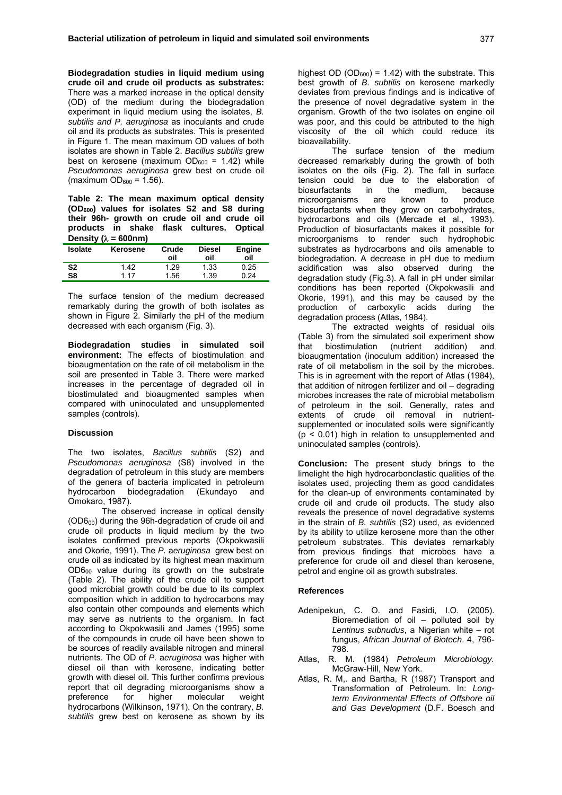**Biodegradation studies in liquid medium using crude oil and crude oil products as substrates:** There was a marked increase in the optical density (OD) of the medium during the biodegradation experiment in liquid medium using the isolates, *B. subtilis and P. aeruginosa* as inoculants and crude oil and its products as substrates. This is presented in Figure 1. The mean maximum OD values of both isolates are shown in Table 2. *Bacillus subtilis* grew best on kerosene (maximum  $OD_{600} = 1.42$ ) while *Pseudomonas aeruginosa* grew best on crude oil (maximum  $OD_{600} = 1.56$ ).

**Table 2: The mean maximum optical density (OD600) values for isolates S2 and S8 during their 96h- growth on crude oil and crude oil products in shake flask cultures. Optical Density (**λ **= 600nm)** 

| <b>Isolate</b> | Kerosene | Crude<br>oil | <b>Diesel</b><br>oil | <b>Engine</b><br>oil |
|----------------|----------|--------------|----------------------|----------------------|
| S <sub>2</sub> | 1.42     | 1.29         | 1.33                 | 0.25                 |
| S8             | 1 17     | 1.56         | 1.39                 | በ 24                 |

The surface tension of the medium decreased remarkably during the growth of both isolates as shown in Figure 2. Similarly the pH of the medium decreased with each organism (Fig. 3).

**Biodegradation studies in simulated soil environment:** The effects of biostimulation and bioaugmentation on the rate of oil metabolism in the soil are presented in Table 3. There were marked increases in the percentage of degraded oil in biostimulated and bioaugmented samples when compared with uninoculated and unsupplemented samples (controls).

### **Discussion**

The two isolates, *Bacillus subtilis* (S2) and *Pseudomonas aeruginosa* (S8) involved in the degradation of petroleum in this study are members of the genera of bacteria implicated in petroleum hydrocarbon biodegradation (Ekundayo and Omokaro, 1987).

The observed increase in optical density (OD600) during the 96h-degradation of crude oil and crude oil products in liquid medium by the two isolates confirmed previous reports (Okpokwasili and Okorie, 1991). The *P.* a*eruginosa* grew best on crude oil as indicated by its highest mean maximum OD600 value during its growth on the substrate (Table 2). The ability of the crude oil to support good microbial growth could be due to its complex composition which in addition to hydrocarbons may also contain other compounds and elements which may serve as nutrients to the organism. In fact according to Okpokwasili and James (1995) some of the compounds in crude oil have been shown to be sources of readily available nitrogen and mineral nutrients. The OD of *P.* a*eruginosa* was higher with diesel oil than with kerosene, indicating better growth with diesel oil. This further confirms previous report that oil degrading microorganisms show a<br>preference for higher molecular weight preference for higher molecular weight hydrocarbons (Wilkinson, 1971). On the contrary, *B. subtilis* grew best on kerosene as shown by its highest OD (OD $_{600}$ ) = 1.42) with the substrate. This best growth of *B. subtilis* on kerosene markedly deviates from previous findings and is indicative of the presence of novel degradative system in the organism. Growth of the two isolates on engine oil was poor, and this could be attributed to the high viscosity of the oil which could reduce its bioavailability.

The surface tension of the medium decreased remarkably during the growth of both isolates on the oils (Fig. 2). The fall in surface tension could be due to the elaboration of biosurfactants in the medium, because<br>microorganisms are known to produce microorganisms are known to biosurfactants when they grow on carbohydrates, hydrocarbons and oils (Mercade et al., 1993). Production of biosurfactants makes it possible for microorganisms to render such hydrophobic substrates as hydrocarbons and oils amenable to biodegradation. A decrease in pH due to medium acidification was also observed during the degradation study (Fig.3). A fall in pH under similar conditions has been reported (Okpokwasili and Okorie, 1991), and this may be caused by the production of carboxylic acids during the degradation process (Atlas, 1984).

The extracted weights of residual oils (Table 3) from the simulated soil experiment show that biostimulation (nutrient addition) and bioaugmentation (inoculum addition) increased the rate of oil metabolism in the soil by the microbes. This is in agreement with the report of Atlas (1984), that addition of nitrogen fertilizer and oil – degrading microbes increases the rate of microbial metabolism of petroleum in the soil. Generally, rates and extents of crude oil removal in nutrientsupplemented or inoculated soils were significantly  $(p < 0.01)$  high in relation to unsupplemented and uninoculated samples (controls).

**Conclusion:** The present study brings to the limelight the high hydrocarbonclastic qualities of the isolates used, projecting them as good candidates for the clean-up of environments contaminated by crude oil and crude oil products. The study also reveals the presence of novel degradative systems in the strain of *B. subtilis* (S2) used, as evidenced by its ability to utilize kerosene more than the other petroleum substrates. This deviates remarkably from previous findings that microbes have a preference for crude oil and diesel than kerosene, petrol and engine oil as growth substrates.

#### **References**

- Adenipekun, C. O. and Fasidi, I.O. (2005). Bioremediation of oil – polluted soil by *Lentinus subnudus*, a Nigerian white – rot fungus, *African Journal of Biotech*. 4, 796- 798.
- Atlas, R. M. (1984) *Petroleum Microbiology.* McGraw-Hill, New York.
- Atlas, R. M,. and Bartha, R (1987) Transport and Transformation of Petroleum. In: *Longterm Environmental Effects of Offshore oil and Gas Development* (D.F. Boesch and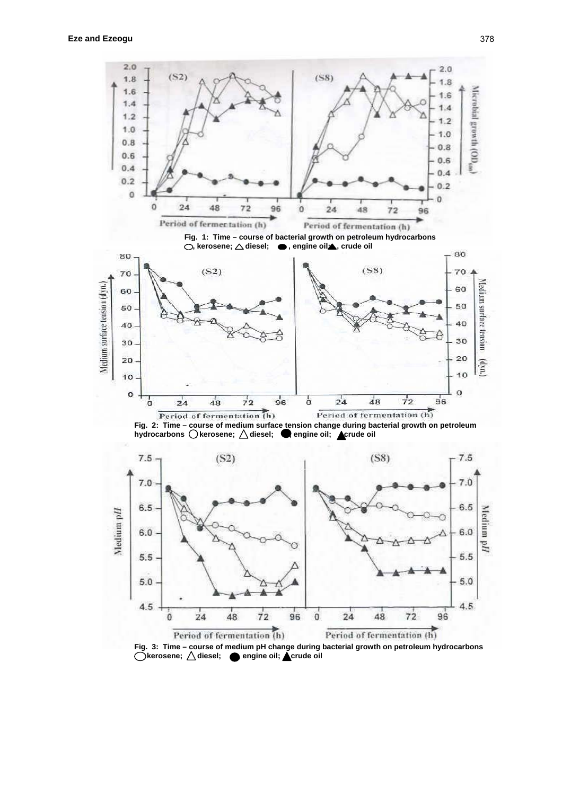